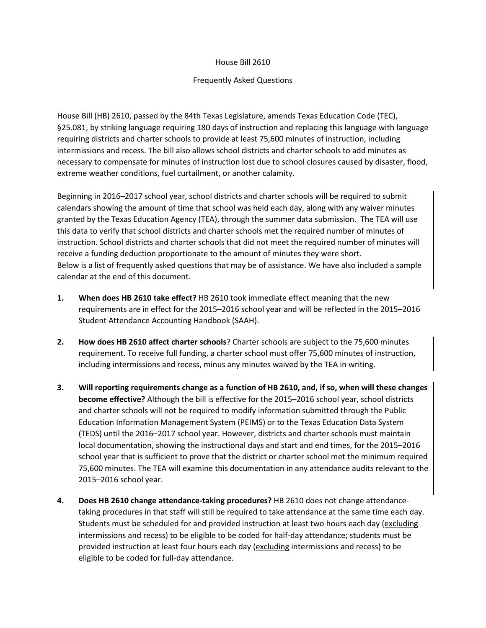## House Bill 2610

## Frequently Asked Questions

House Bill (HB) 2610, passed by the 84th Texas Legislature, amends Texas Education Code (TEC), §25.081, by striking language requiring 180 days of instruction and replacing this language with language requiring districts and charter schools to provide at least 75,600 minutes of instruction, including intermissions and recess. The bill also allows school districts and charter schools to add minutes as necessary to compensate for minutes of instruction lost due to school closures caused by disaster, flood, extreme weather conditions, fuel curtailment, or another calamity.

Beginning in 2016–2017 school year, school districts and charter schools will be required to submit calendars showing the amount of time that school was held each day, along with any waiver minutes granted by the Texas Education Agency (TEA), through the summer data submission. The TEA will use this data to verify that school districts and charter schools met the required number of minutes of instruction. School districts and charter schools that did not meet the required number of minutes will receive a funding deduction proportionate to the amount of minutes they were short. Below is a list of frequently asked questions that may be of assistance. We have also included a sample calendar at the end of this document.

- **1. When does HB 2610 take effect?** HB 2610 took immediate effect meaning that the new requirements are in effect for the 2015–2016 school year and will be reflected in the 2015–2016 Student Attendance Accounting Handbook (SAAH).
- **2. How does HB 2610 affect charter schools**? Charter schools are subject to the 75,600 minutes requirement. To receive full funding, a charter school must offer 75,600 minutes of instruction, including intermissions and recess, minus any minutes waived by the TEA in writing.
- **3. Will reporting requirements change as a function of HB 2610, and, if so, when will these changes become effective?** Although the bill is effective for the 2015–2016 school year, school districts and charter schools will not be required to modify information submitted through the Public Education Information Management System (PEIMS) or to the Texas Education Data System (TEDS) until the 2016–2017 school year. However, districts and charter schools must maintain local documentation, showing the instructional days and start and end times, for the 2015–2016 school year that is sufficient to prove that the district or charter school met the minimum required 75,600 minutes. The TEA will examine this documentation in any attendance audits relevant to the 2015–2016 school year.
- **4. Does HB 2610 change attendance-taking procedures?** HB 2610 does not change attendancetaking procedures in that staff will still be required to take attendance at the same time each day. Students must be scheduled for and provided instruction at least two hours each day (excluding intermissions and recess) to be eligible to be coded for half-day attendance; students must be provided instruction at least four hours each day (excluding intermissions and recess) to be eligible to be coded for full-day attendance.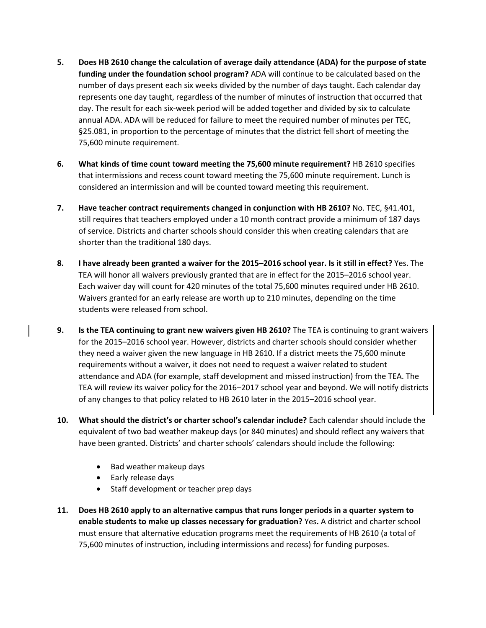- **5. Does HB 2610 change the calculation of average daily attendance (ADA) for the purpose of state funding under the foundation school program?** ADA will continue to be calculated based on the number of days present each six weeks divided by the number of days taught. Each calendar day represents one day taught, regardless of the number of minutes of instruction that occurred that day. The result for each six-week period will be added together and divided by six to calculate annual ADA. ADA will be reduced for failure to meet the required number of minutes per TEC, §25.081, in proportion to the percentage of minutes that the district fell short of meeting the 75,600 minute requirement.
- **6. What kinds of time count toward meeting the 75,600 minute requirement?** HB 2610 specifies that intermissions and recess count toward meeting the 75,600 minute requirement. Lunch is considered an intermission and will be counted toward meeting this requirement.
- **7. Have teacher contract requirements changed in conjunction with HB 2610?** No. TEC, §41.401, still requires that teachers employed under a 10 month contract provide a minimum of 187 days of service. Districts and charter schools should consider this when creating calendars that are shorter than the traditional 180 days.
- **8. I have already been granted a waiver for the 2015–2016 school year. Is it still in effect?** Yes. The TEA will honor all waivers previously granted that are in effect for the 2015–2016 school year. Each waiver day will count for 420 minutes of the total 75,600 minutes required under HB 2610. Waivers granted for an early release are worth up to 210 minutes, depending on the time students were released from school.
- **9. Is the TEA continuing to grant new waivers given HB 2610?** The TEA is continuing to grant waivers for the 2015–2016 school year. However, districts and charter schools should consider whether they need a waiver given the new language in HB 2610. If a district meets the 75,600 minute requirements without a waiver, it does not need to request a waiver related to student attendance and ADA (for example, staff development and missed instruction) from the TEA. The TEA will review its waiver policy for the 2016–2017 school year and beyond. We will notify districts of any changes to that policy related to HB 2610 later in the 2015–2016 school year.
- **10. What should the district's or charter school's calendar include?** Each calendar should include the equivalent of two bad weather makeup days (or 840 minutes) and should reflect any waivers that have been granted. Districts' and charter schools' calendars should include the following:
	- Bad weather makeup days
	- Early release days
	- Staff development or teacher prep days
- **11. Does HB 2610 apply to an alternative campus that runs longer periods in a quarter system to enable students to make up classes necessary for graduation?** Yes**.** A district and charter school must ensure that alternative education programs meet the requirements of HB 2610 (a total of 75,600 minutes of instruction, including intermissions and recess) for funding purposes.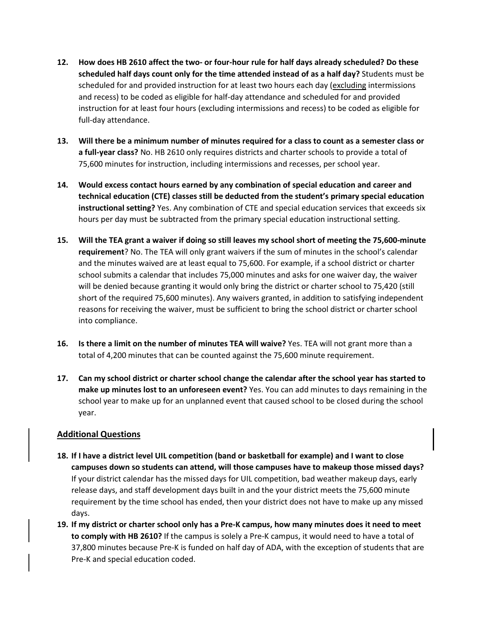- **12. How does HB 2610 affect the two- or four-hour rule for half days already scheduled? Do these scheduled half days count only for the time attended instead of as a half day?** Students must be scheduled for and provided instruction for at least two hours each day (excluding intermissions and recess) to be coded as eligible for half-day attendance and scheduled for and provided instruction for at least four hours (excluding intermissions and recess) to be coded as eligible for full-day attendance.
- **13. Will there be a minimum number of minutes required for a class to count as a semester class or a full-year class?** No. HB 2610 only requires districts and charter schools to provide a total of 75,600 minutes for instruction, including intermissions and recesses, per school year.
- **14. Would excess contact hours earned by any combination of special education and career and technical education (CTE) classes still be deducted from the student's primary special education instructional setting?** Yes. Any combination of CTE and special education services that exceeds six hours per day must be subtracted from the primary special education instructional setting.
- **15. Will the TEA grant a waiver if doing so still leaves my school short of meeting the 75,600-minute requirement**? No. The TEA will only grant waivers if the sum of minutes in the school's calendar and the minutes waived are at least equal to 75,600. For example, if a school district or charter school submits a calendar that includes 75,000 minutes and asks for one waiver day, the waiver will be denied because granting it would only bring the district or charter school to 75,420 (still short of the required 75,600 minutes). Any waivers granted, in addition to satisfying independent reasons for receiving the waiver, must be sufficient to bring the school district or charter school into compliance.
- **16. Is there a limit on the number of minutes TEA will waive?** Yes. TEA will not grant more than a total of 4,200 minutes that can be counted against the 75,600 minute requirement.
- **17. Can my school district or charter school change the calendar after the school year has started to make up minutes lost to an unforeseen event?** Yes. You can add minutes to days remaining in the school year to make up for an unplanned event that caused school to be closed during the school year.

## **Additional Questions**

- **18. If I have a district level UIL competition (band or basketball for example) and I want to close campuses down so students can attend, will those campuses have to makeup those missed days?**  If your district calendar has the missed days for UIL competition, bad weather makeup days, early release days, and staff development days built in and the your district meets the 75,600 minute requirement by the time school has ended, then your district does not have to make up any missed days.
- **19. If my district or charter school only has a Pre-K campus, how many minutes does it need to meet to comply with HB 2610?** If the campus is solely a Pre-K campus, it would need to have a total of 37,800 minutes because Pre-K is funded on half day of ADA, with the exception of students that are Pre-K and special education coded.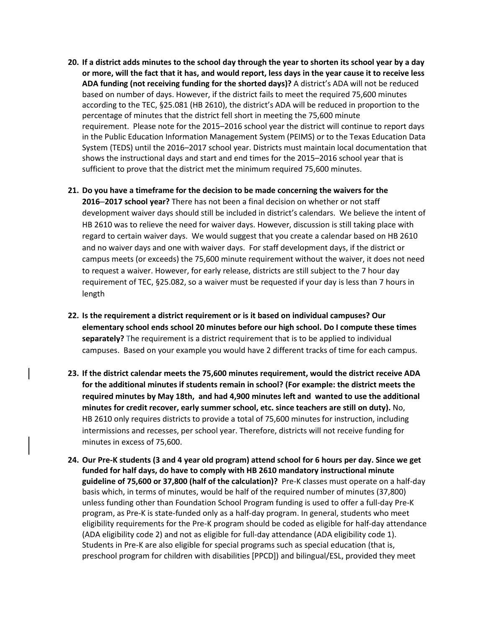- **20. If a district adds minutes to the school day through the year to shorten its school year by a day or more, will the fact that it has, and would report, less days in the year cause it to receive less ADA funding (not receiving funding for the shorted days)?** A district's ADA will not be reduced based on number of days. However, if the district fails to meet the required 75,600 minutes according to the TEC, §25.081 (HB 2610), the district's ADA will be reduced in proportion to the percentage of minutes that the district fell short in meeting the 75,600 minute requirement. Please note for the 2015–2016 school year the district will continue to report days in the Public Education Information Management System (PEIMS) or to the Texas Education Data System (TEDS) until the 2016–2017 school year. Districts must maintain local documentation that shows the instructional days and start and end times for the 2015–2016 school year that is sufficient to prove that the district met the minimum required 75,600 minutes.
- **21. Do you have a timeframe for the decision to be made concerning the waivers for the 2016**–**2017 school year?** There has not been a final decision on whether or not staff development waiver days should still be included in district's calendars. We believe the intent of HB 2610 was to relieve the need for waiver days. However, discussion is still taking place with regard to certain waiver days. We would suggest that you create a calendar based on HB 2610 and no waiver days and one with waiver days. For staff development days, if the district or campus meets (or exceeds) the 75,600 minute requirement without the waiver, it does not need to request a waiver. However, for early release, districts are still subject to the 7 hour day requirement of TEC, §25.082, so a waiver must be requested if your day is less than 7 hours in length
- **22. Is the requirement a district requirement or is it based on individual campuses? Our elementary school ends school 20 minutes before our high school. Do I compute these times separately?** The requirement is a district requirement that is to be applied to individual campuses. Based on your example you would have 2 different tracks of time for each campus.
- **23. If the district calendar meets the 75,600 minutes requirement, would the district receive ADA for the additional minutes if students remain in school? (For example: the district meets the required minutes by May 18th, and had 4,900 minutes left and wanted to use the additional minutes for credit recover, early summer school, etc. since teachers are still on duty).** No, HB 2610 only requires districts to provide a total of 75,600 minutes for instruction, including intermissions and recesses, per school year. Therefore, districts will not receive funding for minutes in excess of 75,600.
- **24. Our Pre-K students (3 and 4 year old program) attend school for 6 hours per day. Since we get funded for half days, do have to comply with HB 2610 mandatory instructional minute guideline of 75,600 or 37,800 (half of the calculation)?** Pre-K classes must operate on a half-day basis which, in terms of minutes, would be half of the required number of minutes (37,800) unless funding other than Foundation School Program funding is used to offer a full-day Pre-K program, as Pre-K is state-funded only as a half-day program. In general, students who meet eligibility requirements for the Pre-K program should be coded as eligible for half-day attendance (ADA eligibility code 2) and not as eligible for full-day attendance (ADA eligibility code 1). Students in Pre-K are also eligible for special programs such as special education (that is, preschool program for children with disabilities [PPCD]) and bilingual/ESL, provided they meet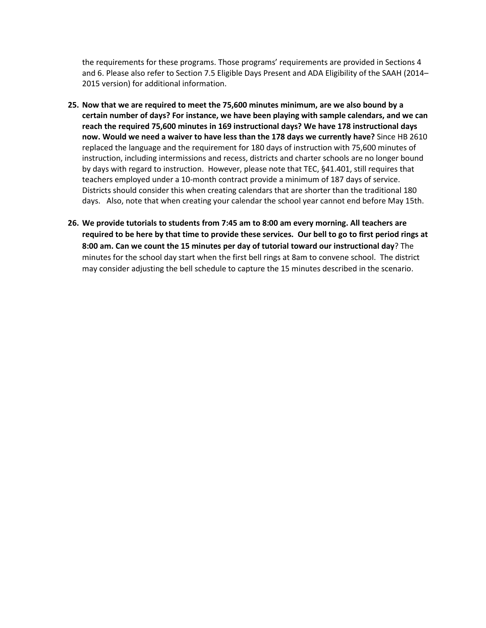the requirements for these programs. Those programs' requirements are provided in Sections 4 and 6. Please also refer to Section 7.5 Eligible Days Present and ADA Eligibility of the SAAH (2014– 2015 version) for additional information.

- **25. Now that we are required to meet the 75,600 minutes minimum, are we also bound by a certain number of days? For instance, we have been playing with sample calendars, and we can reach the required 75,600 minutes in 169 instructional days? We have 178 instructional days now. Would we need a waiver to have less than the 178 days we currently have?** Since HB 2610 replaced the language and the requirement for 180 days of instruction with 75,600 minutes of instruction, including intermissions and recess, districts and charter schools are no longer bound by days with regard to instruction. However, please note that TEC, §41.401, still requires that teachers employed under a 10-month contract provide a minimum of 187 days of service. Districts should consider this when creating calendars that are shorter than the traditional 180 days. Also, note that when creating your calendar the school year cannot end before May 15th.
- **26. We provide tutorials to students from 7:45 am to 8:00 am every morning. All teachers are required to be here by that time to provide these services. Our bell to go to first period rings at 8:00 am. Can we count the 15 minutes per day of tutorial toward our instructional day**? The minutes for the school day start when the first bell rings at 8am to convene school. The district may consider adjusting the bell schedule to capture the 15 minutes described in the scenario.